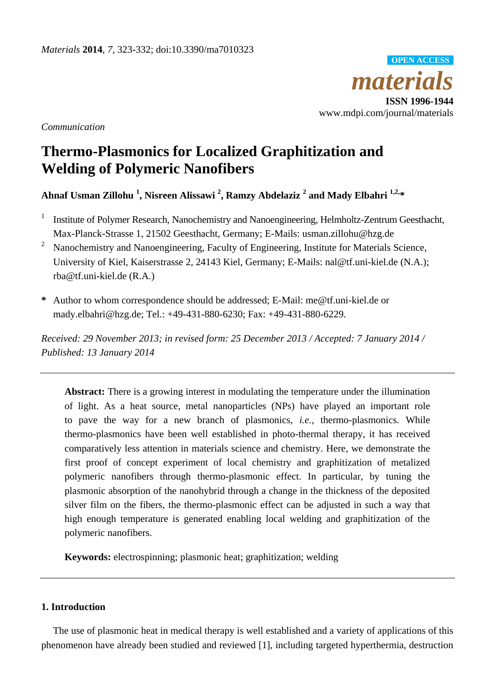

*Communication*

# **Thermo-Plasmonics for Localized Graphitization and Welding of Polymeric Nanofibers**

**Ahnaf Usman Zillohu <sup>1</sup> , Nisreen Alissawi <sup>2</sup> , Ramzy Abdelaziz <sup>2</sup> and Mady Elbahri 1,2,\***

- 1 Institute of Polymer Research, Nanochemistry and Nanoengineering, Helmholtz-Zentrum Geesthacht, Max-Planck-Strasse 1, 21502 Geesthacht, Germany; E-Mails: usman.zillohu@hzg.de
- <sup>2</sup> Nanochemistry and Nanoengineering, Faculty of Engineering, Institute for Materials Science, University of Kiel, Kaiserstrasse 2, 24143 Kiel, Germany; E-Mails: nal@tf.uni-kiel.de (N.A.); rba@tf.uni-kiel.de (R.A.)
- **\*** Author to whom correspondence should be addressed; E-Mail: me@tf.uni-kiel.de or mady.elbahri@hzg.de; Tel.: +49-431-880-6230; Fax: +49-431-880-6229.

*Received: 29 November 2013; in revised form: 25 December 2013 / Accepted: 7 January 2014 / Published: 13 January 2014*

**Abstract:** There is a growing interest in modulating the temperature under the illumination of light. As a heat source, metal nanoparticles (NPs) have played an important role to pave the way for a new branch of plasmonics, *i.e.*, thermo-plasmonics. While thermo-plasmonics have been well established in photo-thermal therapy, it has received comparatively less attention in materials science and chemistry. Here, we demonstrate the first proof of concept experiment of local chemistry and graphitization of metalized polymeric nanofibers through thermo-plasmonic effect. In particular, by tuning the plasmonic absorption of the nanohybrid through a change in the thickness of the deposited silver film on the fibers, the thermo-plasmonic effect can be adjusted in such a way that high enough temperature is generated enabling local welding and graphitization of the polymeric nanofibers.

**Keywords:** electrospinning; plasmonic heat; graphitization; welding

## **1. Introduction**

The use of plasmonic heat in medical therapy is well established and a variety of applications of this phenomenon have already been studied and reviewed [1], including targeted hyperthermia, destruction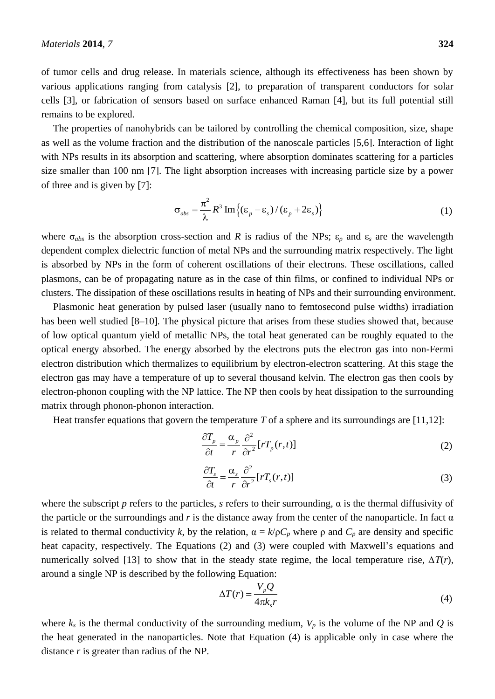of tumor cells and drug release. In materials science, although its effectiveness has been shown by various applications ranging from catalysis [2], to preparation of transparent conductors for solar cells [3], or fabrication of sensors based on surface enhanced Raman [4], but its full potential still remains to be explored.

The properties of nanohybrids can be tailored by controlling the chemical composition, size, shape as well as the volume fraction and the distribution of the nanoscale particles [5,6]. Interaction of light with NPs results in its absorption and scattering, where absorption dominates scattering for a particles size smaller than 100 nm [7]. The light absorption increases with increasing particle size by a power of three and is given by [7]:

$$
\sigma_{abs} = \frac{\pi^2}{\lambda} R^3 \operatorname{Im} \{ (\varepsilon_p - \varepsilon_s) / (\varepsilon_p + 2\varepsilon_s) \}
$$
 (1)

where  $\sigma_{abs}$  is the absorption cross-section and *R* is radius of the NPs;  $\varepsilon_p$  and  $\varepsilon_s$  are the wavelength dependent complex dielectric function of metal NPs and the surrounding matrix respectively. The light is absorbed by NPs in the form of coherent oscillations of their electrons. These oscillations, called plasmons, can be of propagating nature as in the case of thin films, or confined to individual NPs or clusters. The dissipation of these oscillations results in heating of NPs and their surrounding environment.

Plasmonic heat generation by pulsed laser (usually nano to femtosecond pulse widths) irradiation has been well studied [8–10]*.* The physical picture that arises from these studies showed that, because of low optical quantum yield of metallic NPs, the total heat generated can be roughly equated to the optical energy absorbed. The energy absorbed by the electrons puts the electron gas into non-Fermi electron distribution which thermalizes to equilibrium by electron-electron scattering. At this stage the electron gas may have a temperature of up to several thousand kelvin. The electron gas then cools by electron-phonon coupling with the NP lattice. The NP then cools by heat dissipation to the surrounding matrix through phonon-phonon interaction.

Heat transfer equations that govern the temperature *T* of a sphere and its surroundings are [11,12]:

$$
\frac{\partial T_p}{\partial t} = \frac{\alpha_p}{r} \frac{\partial^2}{\partial r^2} [rT_p(r,t)] \tag{2}
$$

$$
\frac{\partial T_s}{\partial t} = \frac{\alpha_s}{r} \frac{\partial^2}{\partial r^2} [rT_s(r,t)] \tag{3}
$$

where the subscript *p* refers to the particles, *s* refers to their surrounding, α is the thermal diffusivity of the particle or the surroundings and  $r$  is the distance away from the center of the nanoparticle. In fact  $\alpha$ is related to thermal conductivity k, by the relation,  $\alpha = k/\rho C_p$  where  $\rho$  and  $C_p$  are density and specific heat capacity, respectively. The Equations (2) and (3) were coupled with Maxwell's equations and numerically solved [13] to show that in the steady state regime, the local temperature rise,  $\Delta T(r)$ , around a single NP is described by the following Equation:

$$
\Delta T(r) = \frac{V_p Q}{4\pi k_s r} \tag{4}
$$

where  $k_s$  is the thermal conductivity of the surrounding medium,  $V_p$  is the volume of the NP and  $Q$  is the heat generated in the nanoparticles. Note that Equation (4) is applicable only in case where the distance *r* is greater than radius of the NP.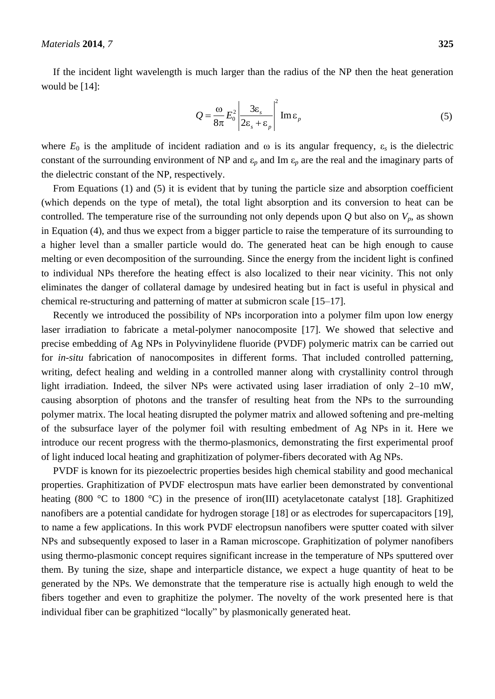If the incident light wavelength is much larger than the radius of the NP then the heat generation would be [14]:

$$
Q = \frac{\omega}{8\pi} E_0^2 \left| \frac{3\varepsilon_s}{2\varepsilon_s + \varepsilon_p} \right|^2 \text{Im}\,\varepsilon_p \tag{5}
$$

where  $E_0$  is the amplitude of incident radiation and  $\omega$  is its angular frequency,  $\varepsilon_s$  is the dielectric constant of the surrounding environment of NP and  $\varepsilon_p$  and Im  $\varepsilon_p$  are the real and the imaginary parts of the dielectric constant of the NP, respectively.

From Equations (1) and (5) it is evident that by tuning the particle size and absorption coefficient (which depends on the type of metal), the total light absorption and its conversion to heat can be controlled. The temperature rise of the surrounding not only depends upon  $Q$  but also on  $V_p$ , as shown in Equation (4), and thus we expect from a bigger particle to raise the temperature of its surrounding to a higher level than a smaller particle would do. The generated heat can be high enough to cause melting or even decomposition of the surrounding. Since the energy from the incident light is confined to individual NPs therefore the heating effect is also localized to their near vicinity. This not only eliminates the danger of collateral damage by undesired heating but in fact is useful in physical and chemical re-structuring and patterning of matter at submicron scale [15–17].

Recently we introduced the possibility of NPs incorporation into a polymer film upon low energy laser irradiation to fabricate a metal-polymer nanocomposite [17]. We showed that selective and precise embedding of Ag NPs in Polyvinylidene fluoride (PVDF) polymeric matrix can be carried out for *in-situ* fabrication of nanocomposites in different forms. That included controlled patterning, writing, defect healing and welding in a controlled manner along with crystallinity control through light irradiation. Indeed, the silver NPs were activated using laser irradiation of only 2–10 mW, causing absorption of photons and the transfer of resulting heat from the NPs to the surrounding polymer matrix. The local heating disrupted the polymer matrix and allowed softening and pre-melting of the subsurface layer of the polymer foil with resulting embedment of Ag NPs in it. Here we introduce our recent progress with the thermo-plasmonics, demonstrating the first experimental proof of light induced local heating and graphitization of polymer-fibers decorated with Ag NPs.

PVDF is known for its piezoelectric properties besides high chemical stability and good mechanical properties. Graphitization of PVDF electrospun mats have earlier been demonstrated by conventional heating (800 °C to 1800 °C) in the presence of iron(III) acetylacetonate catalyst [18]. Graphitized nanofibers are a potential candidate for hydrogen storage [18] or as electrodes for supercapacitors [19], to name a few applications. In this work PVDF electropsun nanofibers were sputter coated with silver NPs and subsequently exposed to laser in a Raman microscope. Graphitization of polymer nanofibers using thermo-plasmonic concept requires significant increase in the temperature of NPs sputtered over them. By tuning the size, shape and interparticle distance, we expect a huge quantity of heat to be generated by the NPs. We demonstrate that the temperature rise is actually high enough to weld the fibers together and even to graphitize the polymer. The novelty of the work presented here is that individual fiber can be graphitized "locally" by plasmonically generated heat.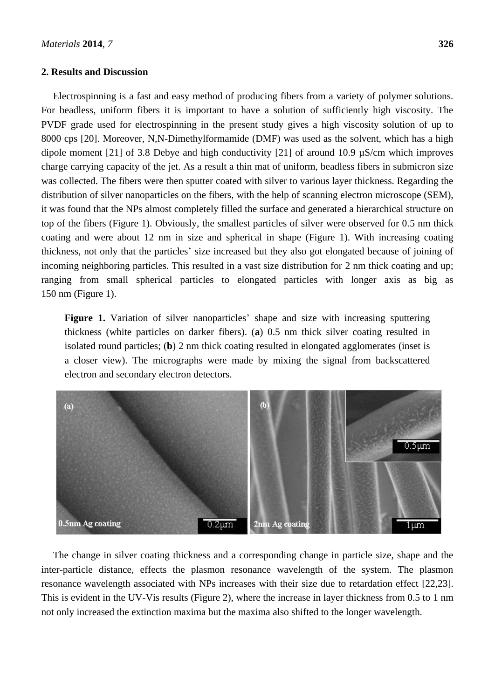#### **2. Results and Discussion**

Electrospinning is a fast and easy method of producing fibers from a variety of polymer solutions. For beadless, uniform fibers it is important to have a solution of sufficiently high viscosity. The PVDF grade used for electrospinning in the present study gives a high viscosity solution of up to 8000 cps [20]. Moreover, N,N-Dimethylformamide (DMF) was used as the solvent, which has a high dipole moment [21] of 3.8 Debye and high conductivity [21] of around 10.9 µS/cm which improves charge carrying capacity of the jet. As a result a thin mat of uniform, beadless fibers in submicron size was collected. The fibers were then sputter coated with silver to various layer thickness. Regarding the distribution of silver nanoparticles on the fibers, with the help of scanning electron microscope (SEM), it was found that the NPs almost completely filled the surface and generated a hierarchical structure on top of the fibers (Figure 1). Obviously, the smallest particles of silver were observed for 0.5 nm thick coating and were about 12 nm in size and spherical in shape (Figure 1). With increasing coating thickness, not only that the particles' size increased but they also got elongated because of joining of incoming neighboring particles. This resulted in a vast size distribution for 2 nm thick coating and up; ranging from small spherical particles to elongated particles with longer axis as big as 150 nm (Figure 1).

Figure 1. Variation of silver nanoparticles' shape and size with increasing sputtering thickness (white particles on darker fibers). (**a**) 0.5 nm thick silver coating resulted in isolated round particles; (**b**) 2 nm thick coating resulted in elongated agglomerates (inset is a closer view). The micrographs were made by mixing the signal from backscattered electron and secondary electron detectors.



The change in silver coating thickness and a corresponding change in particle size, shape and the inter-particle distance, effects the plasmon resonance wavelength of the system. The plasmon resonance wavelength associated with NPs increases with their size due to retardation effect [22,23]. This is evident in the UV-Vis results (Figure 2), where the increase in layer thickness from 0.5 to 1 nm not only increased the extinction maxima but the maxima also shifted to the longer wavelength.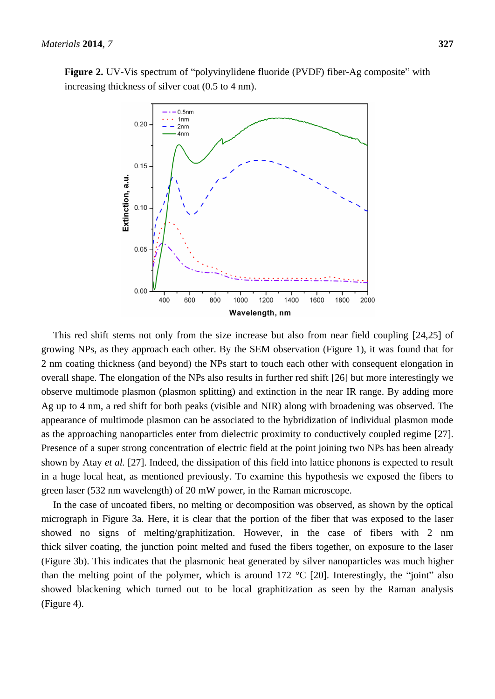**Figure 2.** UV-Vis spectrum of "polyvinylidene fluoride (PVDF) fiber-Ag composite" with increasing thickness of silver coat (0.5 to 4 nm).



This red shift stems not only from the size increase but also from near field coupling [24,25] of growing NPs, as they approach each other. By the SEM observation (Figure 1), it was found that for 2 nm coating thickness (and beyond) the NPs start to touch each other with consequent elongation in overall shape. The elongation of the NPs also results in further red shift [26] but more interestingly we observe multimode plasmon (plasmon splitting) and extinction in the near IR range. By adding more Ag up to 4 nm, a red shift for both peaks (visible and NIR) along with broadening was observed. The appearance of multimode plasmon can be associated to the hybridization of individual plasmon mode as the approaching nanoparticles enter from dielectric proximity to conductively coupled regime [27]. Presence of a super strong concentration of electric field at the point joining two NPs has been already shown by Atay *et al.* [27]. Indeed, the dissipation of this field into lattice phonons is expected to result in a huge local heat, as mentioned previously. To examine this hypothesis we exposed the fibers to green laser (532 nm wavelength) of 20 mW power, in the Raman microscope.

In the case of uncoated fibers, no melting or decomposition was observed, as shown by the optical micrograph in Figure 3a. Here, it is clear that the portion of the fiber that was exposed to the laser showed no signs of melting/graphitization. However, in the case of fibers with 2 nm thick silver coating, the junction point melted and fused the fibers together, on exposure to the laser (Figure 3b). This indicates that the plasmonic heat generated by silver nanoparticles was much higher than the melting point of the polymer, which is around 172  $\mathcal{C}$  [20]. Interestingly, the "joint" also showed blackening which turned out to be local graphitization as seen by the Raman analysis (Figure 4).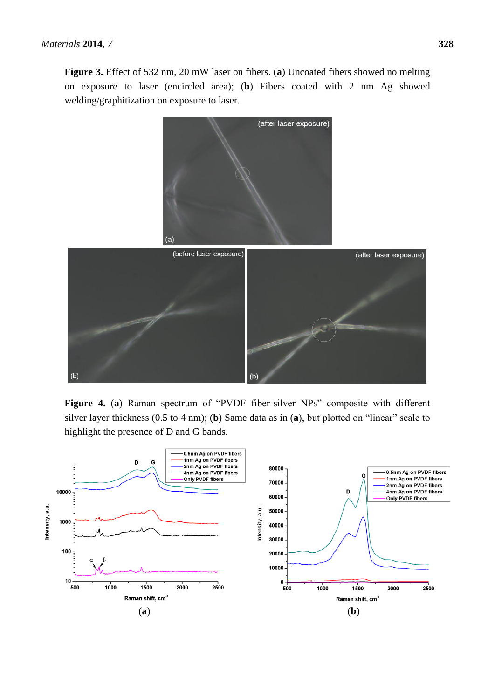**Figure 3.** Effect of 532 nm, 20 mW laser on fibers. (**a**) Uncoated fibers showed no melting on exposure to laser (encircled area); (**b**) Fibers coated with 2 nm Ag showed welding/graphitization on exposure to laser.



**Figure 4.** (**a**) Raman spectrum of "PVDF fiber-silver NPs" composite with different silver layer thickness (0.5 to 4 nm); (**b**) Same data as in (**a**), but plotted on "linear" scale to highlight the presence of D and G bands.

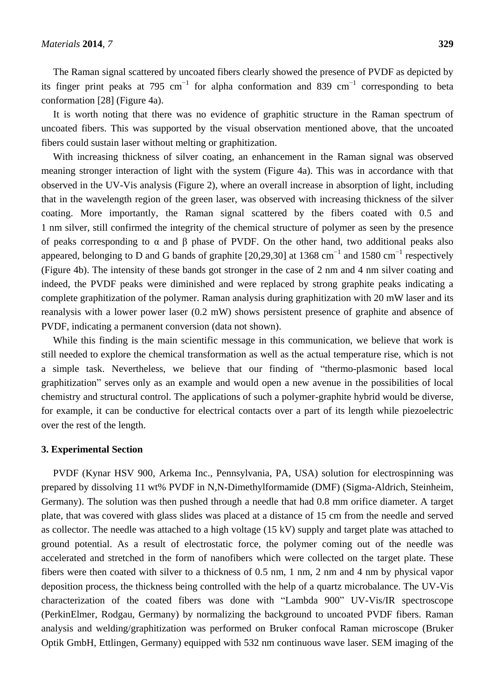The Raman signal scattered by uncoated fibers clearly showed the presence of PVDF as depicted by its finger print peaks at 795 cm<sup>-1</sup> for alpha conformation and 839 cm<sup>-1</sup> corresponding to beta conformation [28] (Figure 4a).

It is worth noting that there was no evidence of graphitic structure in the Raman spectrum of uncoated fibers. This was supported by the visual observation mentioned above, that the uncoated fibers could sustain laser without melting or graphitization.

With increasing thickness of silver coating, an enhancement in the Raman signal was observed meaning stronger interaction of light with the system (Figure 4a). This was in accordance with that observed in the UV-Vis analysis (Figure 2), where an overall increase in absorption of light, including that in the wavelength region of the green laser, was observed with increasing thickness of the silver coating. More importantly, the Raman signal scattered by the fibers coated with 0.5 and 1 nm silver, still confirmed the integrity of the chemical structure of polymer as seen by the presence of peaks corresponding to  $\alpha$  and  $\beta$  phase of PVDF. On the other hand, two additional peaks also appeared, belonging to D and G bands of graphite [20,29,30] at 1368 cm<sup>-1</sup> and 1580 cm<sup>-1</sup> respectively (Figure 4b). The intensity of these bands got stronger in the case of 2 nm and 4 nm silver coating and indeed, the PVDF peaks were diminished and were replaced by strong graphite peaks indicating a complete graphitization of the polymer. Raman analysis during graphitization with 20 mW laser and its reanalysis with a lower power laser (0.2 mW) shows persistent presence of graphite and absence of PVDF, indicating a permanent conversion (data not shown).

While this finding is the main scientific message in this communication, we believe that work is still needed to explore the chemical transformation as well as the actual temperature rise, which is not a simple task. Nevertheless, we believe that our finding of "thermo-plasmonic based local graphitization" serves only as an example and would open a new avenue in the possibilities of local chemistry and structural control. The applications of such a polymer-graphite hybrid would be diverse, for example, it can be conductive for electrical contacts over a part of its length while piezoelectric over the rest of the length.

#### **3. Experimental Section**

PVDF (Kynar HSV 900, Arkema Inc., Pennsylvania, PA, USA) solution for electrospinning was prepared by dissolving 11 wt% PVDF in N,N-Dimethylformamide (DMF) (Sigma-Aldrich, Steinheim, Germany). The solution was then pushed through a needle that had 0.8 mm orifice diameter. A target plate, that was covered with glass slides was placed at a distance of 15 cm from the needle and served as collector. The needle was attached to a high voltage (15 kV) supply and target plate was attached to ground potential. As a result of electrostatic force, the polymer coming out of the needle was accelerated and stretched in the form of nanofibers which were collected on the target plate. These fibers were then coated with silver to a thickness of 0.5 nm, 1 nm, 2 nm and 4 nm by physical vapor deposition process, the thickness being controlled with the help of a quartz microbalance. The UV-Vis characterization of the coated fibers was done with "Lambda 900" UV-Vis/IR spectroscope (PerkinElmer, Rodgau, Germany) by normalizing the background to uncoated PVDF fibers. Raman analysis and welding/graphitization was performed on Bruker confocal Raman microscope (Bruker Optik GmbH, Ettlingen, Germany) equipped with 532 nm continuous wave laser. SEM imaging of the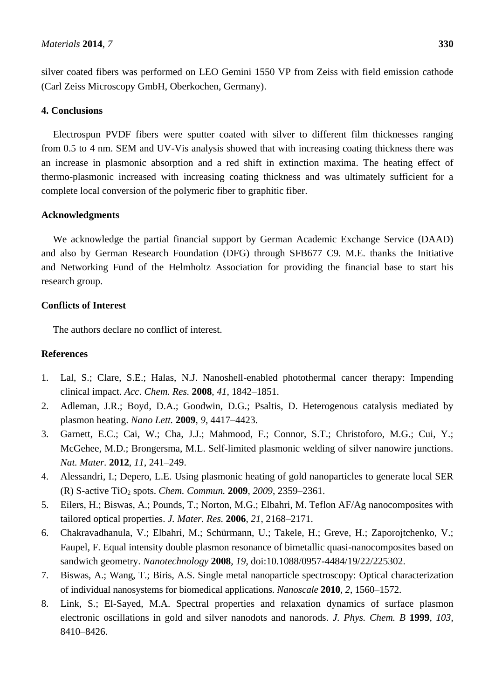silver coated fibers was performed on LEO Gemini 1550 VP from Zeiss with field emission cathode (Carl Zeiss Microscopy GmbH, Oberkochen, Germany).

## **4. Conclusions**

Electrospun PVDF fibers were sputter coated with silver to different film thicknesses ranging from 0.5 to 4 nm. SEM and UV-Vis analysis showed that with increasing coating thickness there was an increase in plasmonic absorption and a red shift in extinction maxima. The heating effect of thermo-plasmonic increased with increasing coating thickness and was ultimately sufficient for a complete local conversion of the polymeric fiber to graphitic fiber.

# **Acknowledgments**

We acknowledge the partial financial support by German Academic Exchange Service (DAAD) and also by German Research Foundation (DFG) through SFB677 C9. M.E. thanks the Initiative and Networking Fund of the Helmholtz Association for providing the financial base to start his research group.

# **Conflicts of Interest**

The authors declare no conflict of interest.

# **References**

- 1. Lal, S.; Clare, S.E.; Halas, N.J. Nanoshell-enabled photothermal cancer therapy: Impending clinical impact. *Acc. Chem. Res.* **2008**, *41*, 1842–1851.
- 2. Adleman, J.R.; Boyd, D.A.; Goodwin, D.G.; Psaltis, D. Heterogenous catalysis mediated by plasmon heating. *Nano Lett.* **2009**, *9*, 4417–4423.
- 3. Garnett, E.C.; Cai, W.; Cha, J.J.; Mahmood, F.; Connor, S.T.; Christoforo, M.G.; Cui, Y.; McGehee, M.D.; Brongersma, M.L. Self-limited plasmonic welding of silver nanowire junctions. *Nat. Mater.* **2012**, *11*, 241–249.
- 4. Alessandri, I.; Depero, L.E. Using plasmonic heating of gold nanoparticles to generate local SER (R) S-active TiO<sup>2</sup> spots. *Chem. Commun.* **2009**, *2009*, 2359–2361.
- 5. Eilers, H.; Biswas, A.; Pounds, T.; Norton, M.G.; Elbahri, M. Teflon AF/Ag nanocomposites with tailored optical properties. *J. Mater. Res.* **2006**, *21*, 2168–2171.
- 6. Chakravadhanula, V.; Elbahri, M.; Schürmann, U.; Takele, H.; Greve, H.; Zaporojtchenko, V.; Faupel, F. Equal intensity double plasmon resonance of bimetallic quasi-nanocomposites based on sandwich geometry. *Nanotechnology* **2008**, *19*, doi:10.1088/0957-4484/19/22/225302.
- 7. Biswas, A.; Wang, T.; Biris, A.S. Single metal nanoparticle spectroscopy: Optical characterization of individual nanosystems for biomedical applications. *Nanoscale* **2010**, *2*, 1560–1572.
- 8. Link, S.; El-Sayed, M.A. Spectral properties and relaxation dynamics of surface plasmon electronic oscillations in gold and silver nanodots and nanorods. *J. Phys. Chem. B* **1999**, *103*, 8410–8426.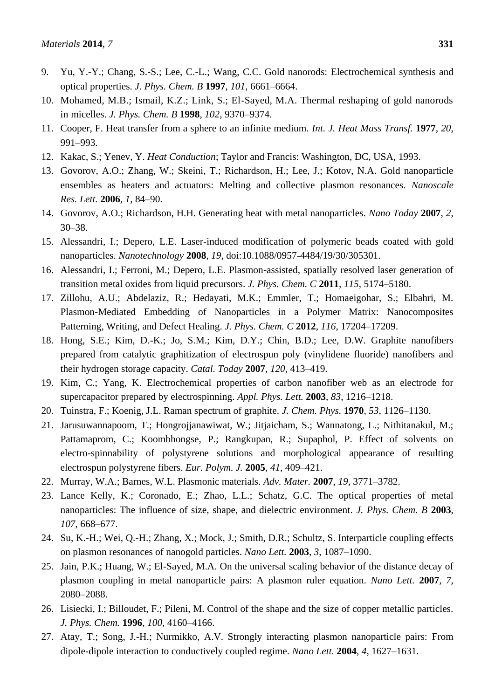- 9. Yu, Y.-Y.; Chang, S.-S.; Lee, C.-L.; Wang, C.C. Gold nanorods: Electrochemical synthesis and optical properties. *J. Phys. Chem. B* **1997**, *101*, 6661–6664.
- 10. Mohamed, M.B.; Ismail, K.Z.; Link, S.; El-Sayed, M.A. Thermal reshaping of gold nanorods in micelles. *J. Phys. Chem. B* **1998**, *102*, 9370–9374.
- 11. Cooper, F. Heat transfer from a sphere to an infinite medium. *Int. J. Heat Mass Transf.* **1977**, *20*, 991–993.
- 12. Kakac, S.; Yenev, Y. *Heat Conduction*; Taylor and Francis: Washington, DC, USA, 1993.
- 13. Govorov, A.O.; Zhang, W.; Skeini, T.; Richardson, H.; Lee, J.; Kotov, N.A. Gold nanoparticle ensembles as heaters and actuators: Melting and collective plasmon resonances. *Nanoscale Res. Lett.* **2006**, *1*, 84–90.
- 14. Govorov, A.O.; Richardson, H.H. Generating heat with metal nanoparticles. *Nano Today* **2007**, *2*, 30–38.
- 15. Alessandri, I.; Depero, L.E. Laser-induced modification of polymeric beads coated with gold nanoparticles. *Nanotechnology* **2008**, *19*, doi:10.1088/0957-4484/19/30/305301.
- 16. Alessandri, I.; Ferroni, M.; Depero, L.E. Plasmon-assisted, spatially resolved laser generation of transition metal oxides from liquid precursors. *J. Phys. Chem. C* **2011**, *115*, 5174–5180.
- 17. Zillohu, A.U.; Abdelaziz, R.; Hedayati, M.K.; Emmler, T.; Homaeigohar, S.; Elbahri, M. Plasmon-Mediated Embedding of Nanoparticles in a Polymer Matrix: Nanocomposites Patterning, Writing, and Defect Healing. *J. Phys. Chem. C* **2012**, *116*, 17204–17209.
- 18. Hong, S.E.; Kim, D.-K.; Jo, S.M.; Kim, D.Y.; Chin, B.D.; Lee, D.W. Graphite nanofibers prepared from catalytic graphitization of electrospun poly (vinylidene fluoride) nanofibers and their hydrogen storage capacity. *Catal. Today* **2007**, *120*, 413–419.
- 19. Kim, C.; Yang, K. Electrochemical properties of carbon nanofiber web as an electrode for supercapacitor prepared by electrospinning. *Appl. Phys. Lett.* **2003**, *83*, 1216–1218.
- 20. Tuinstra, F.; Koenig, J.L. Raman spectrum of graphite. *J. Chem. Phys.* **1970**, *53*, 1126–1130.
- 21. Jarusuwannapoom, T.; Hongrojjanawiwat, W.; Jitjaicham, S.; Wannatong, L.; Nithitanakul, M.; Pattamaprom, C.; Koombhongse, P.; Rangkupan, R.; Supaphol, P. Effect of solvents on electro-spinnability of polystyrene solutions and morphological appearance of resulting electrospun polystyrene fibers. *Eur. Polym. J.* **2005**, *41*, 409–421.
- 22. Murray, W.A.; Barnes, W.L. Plasmonic materials. *Adv. Mater.* **2007**, *19*, 3771–3782.
- 23. Lance Kelly, K.; Coronado, E.; Zhao, L.L.; Schatz, G.C. The optical properties of metal nanoparticles: The influence of size, shape, and dielectric environment. *J. Phys. Chem. B* **2003**, *107*, 668–677.
- 24. Su, K.-H.; Wei, Q.-H.; Zhang, X.; Mock, J.; Smith, D.R.; Schultz, S. Interparticle coupling effects on plasmon resonances of nanogold particles. *Nano Lett.* **2003**, *3*, 1087–1090.
- 25. Jain, P.K.; Huang, W.; El-Sayed, M.A. On the universal scaling behavior of the distance decay of plasmon coupling in metal nanoparticle pairs: A plasmon ruler equation. *Nano Lett.* **2007**, *7*, 2080–2088.
- 26. Lisiecki, I.; Billoudet, F.; Pileni, M. Control of the shape and the size of copper metallic particles. *J. Phys. Chem.* **1996**, *100*, 4160–4166.
- 27. Atay, T.; Song, J.-H.; Nurmikko, A.V. Strongly interacting plasmon nanoparticle pairs: From dipole-dipole interaction to conductively coupled regime. *Nano Lett.* **2004**, *4*, 1627–1631.